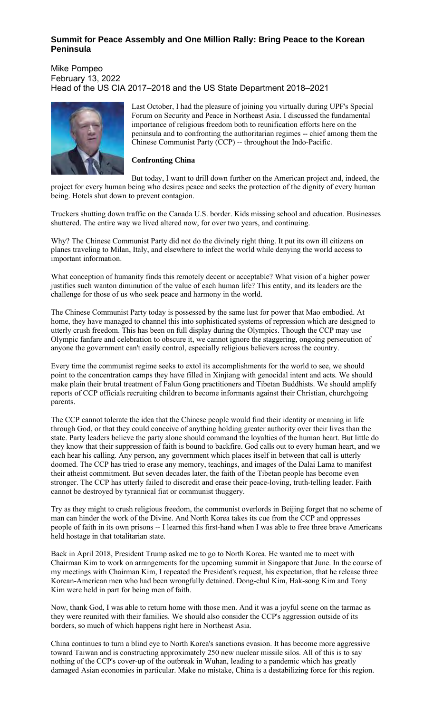## **Summit for Peace Assembly and One Million Rally: Bring Peace to the Korean Peninsula**

Mike Pompeo February 13, 2022 Head of the US CIA 2017–2018 and the US State Department 2018–2021



Last October, I had the pleasure of joining you virtually during UPF's Special Forum on Security and Peace in Northeast Asia. I discussed the fundamental importance of religious freedom both to reunification efforts here on the peninsula and to confronting the authoritarian regimes -- chief among them the Chinese Communist Party (CCP) -- throughout the Indo-Pacific.

## **Confronting China**

But today, I want to drill down further on the American project and, indeed, the project for every human being who desires peace and seeks the protection of the dignity of every human being. Hotels shut down to prevent contagion.

Truckers shutting down traffic on the Canada U.S. border. Kids missing school and education. Businesses shuttered. The entire way we lived altered now, for over two years, and continuing.

Why? The Chinese Communist Party did not do the divinely right thing. It put its own ill citizens on planes traveling to Milan, Italy, and elsewhere to infect the world while denying the world access to important information.

What conception of humanity finds this remotely decent or acceptable? What vision of a higher power justifies such wanton diminution of the value of each human life? This entity, and its leaders are the challenge for those of us who seek peace and harmony in the world.

The Chinese Communist Party today is possessed by the same lust for power that Mao embodied. At home, they have managed to channel this into sophisticated systems of repression which are designed to utterly crush freedom. This has been on full display during the Olympics. Though the CCP may use Olympic fanfare and celebration to obscure it, we cannot ignore the staggering, ongoing persecution of anyone the government can't easily control, especially religious believers across the country.

Every time the communist regime seeks to extol its accomplishments for the world to see, we should point to the concentration camps they have filled in Xinjiang with genocidal intent and acts. We should make plain their brutal treatment of Falun Gong practitioners and Tibetan Buddhists. We should amplify reports of CCP officials recruiting children to become informants against their Christian, churchgoing parents.

The CCP cannot tolerate the idea that the Chinese people would find their identity or meaning in life through God, or that they could conceive of anything holding greater authority over their lives than the state. Party leaders believe the party alone should command the loyalties of the human heart. But little do they know that their suppression of faith is bound to backfire. God calls out to every human heart, and we each hear his calling. Any person, any government which places itself in between that call is utterly doomed. The CCP has tried to erase any memory, teachings, and images of the Dalai Lama to manifest their atheist commitment. But seven decades later, the faith of the Tibetan people has become even stronger. The CCP has utterly failed to discredit and erase their peace-loving, truth-telling leader. Faith cannot be destroyed by tyrannical fiat or communist thuggery.

Try as they might to crush religious freedom, the communist overlords in Beijing forget that no scheme of man can hinder the work of the Divine. And North Korea takes its cue from the CCP and oppresses people of faith in its own prisons -- I learned this first-hand when I was able to free three brave Americans held hostage in that totalitarian state.

Back in April 2018, President Trump asked me to go to North Korea. He wanted me to meet with Chairman Kim to work on arrangements for the upcoming summit in Singapore that June. In the course of my meetings with Chairman Kim, I repeated the President's request, his expectation, that he release three Korean-American men who had been wrongfully detained. Dong-chul Kim, Hak-song Kim and Tony Kim were held in part for being men of faith.

Now, thank God, I was able to return home with those men. And it was a joyful scene on the tarmac as they were reunited with their families. We should also consider the CCP's aggression outside of its borders, so much of which happens right here in Northeast Asia.

China continues to turn a blind eye to North Korea's sanctions evasion. It has become more aggressive toward Taiwan and is constructing approximately 250 new nuclear missile silos. All of this is to say nothing of the CCP's cover-up of the outbreak in Wuhan, leading to a pandemic which has greatly damaged Asian economies in particular. Make no mistake, China is a destabilizing force for this region.